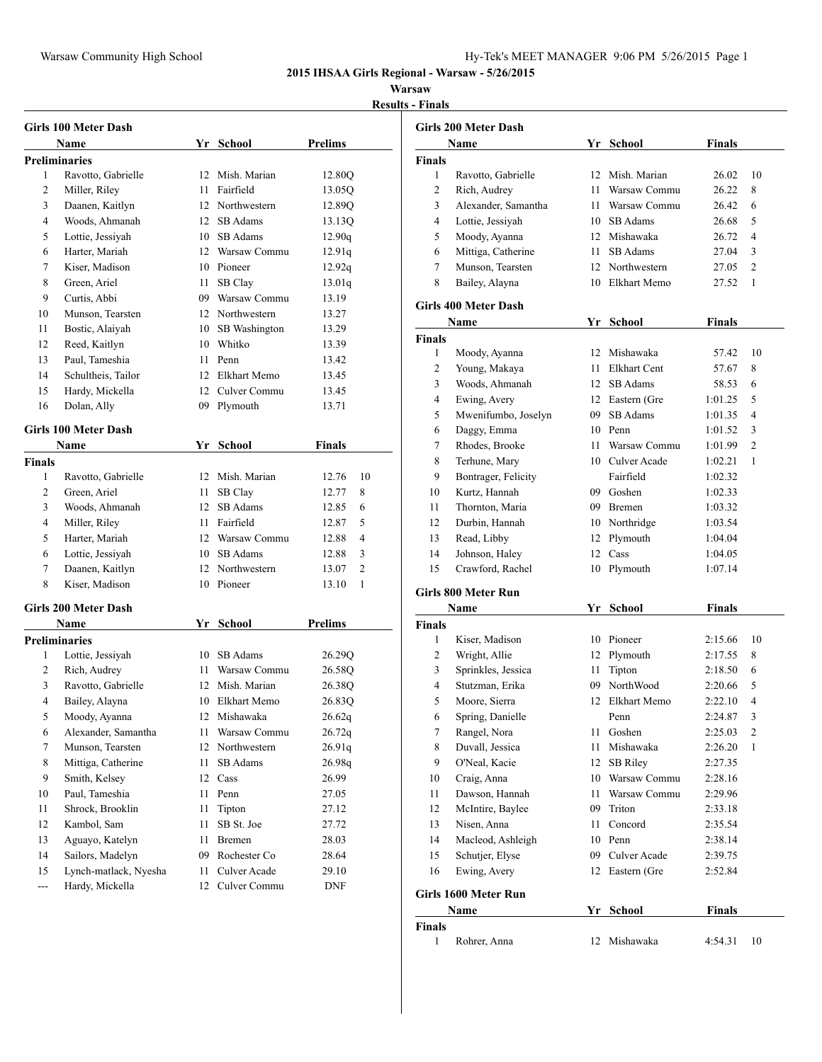## **Warsaw**

**Results - Finals**

|                | Girls 100 Meter Dash  |                 |                 |                |
|----------------|-----------------------|-----------------|-----------------|----------------|
|                | Name                  |                 | Yr School       | Prelims        |
|                | <b>Preliminaries</b>  |                 |                 |                |
| 1              | Ravotto, Gabrielle    | 12              | Mish. Marian    | 12.80Q         |
| 2              | Miller, Riley         | 11              | Fairfield       | 13.05Q         |
| 3              | Daanen, Kaitlyn       |                 | 12 Northwestern | 12.89Q         |
| 4              | Woods, Ahmanah        | 12              | SB Adams        | 13.13Q         |
| 5              | Lottie, Jessiyah      |                 | 10 SB Adams     | 12.90q         |
| 6              | Harter, Mariah        | 12 <sup>7</sup> | Warsaw Commu    | 12.91q         |
| 7              | Kiser, Madison        | 10              | Pioneer         | 12.92q         |
| 8              | Green, Ariel          | 11              | SB Clay         | 13.01q         |
| 9              | Curtis, Abbi          | 09              | Warsaw Commu    | 13.19          |
| 10             | Munson, Tearsten      |                 | 12 Northwestern | 13.27          |
| 11             | Bostic, Alaiyah       | 10              | SB Washington   | 13.29          |
| 12             | Reed, Kaitlyn         |                 | 10 Whitko       | 13.39          |
| 13             | Paul, Tameshia        | 11              | Penn            | 13.42          |
| 14             | Schultheis, Tailor    |                 | 12 Elkhart Memo | 13.45          |
| 15             | Hardy, Mickella       | 12              | Culver Commu    | 13.45          |
| 16             | Dolan, Ally           | 09              | Plymouth        | 13.71          |
|                | Girls 100 Meter Dash  |                 |                 |                |
|                | Name                  |                 | Yr School       | Finals         |
| <b>Finals</b>  |                       |                 |                 |                |
| 1              | Ravotto, Gabrielle    | 12              | Mish. Marian    | 12.76<br>10    |
| 2              | Green, Ariel          | 11              | SB Clay         | 12.77<br>8     |
| 3              | Woods, Ahmanah        | 12              | SB Adams        | 6<br>12.85     |
| 4              | Miller, Riley         | 11              | Fairfield       | 5<br>12.87     |
| 5              | Harter, Mariah        | 12              | Warsaw Commu    | 4<br>12.88     |
| 6              | Lottie, Jessiyah      | 10              | SB Adams        | 3<br>12.88     |
| 7              | Daanen, Kaitlyn       |                 | 12 Northwestern | 2<br>13.07     |
| 8              | Kiser, Madison        |                 | 10 Pioneer      | 1<br>13.10     |
|                | Girls 200 Meter Dash  |                 |                 |                |
|                | Name                  |                 | Yr School       | <b>Prelims</b> |
|                | <b>Preliminaries</b>  |                 |                 |                |
| 1              | Lottie, Jessiyah      | 10              | SB Adams        | 26.29Q         |
| 2              | Rich, Audrey          | 11              | Warsaw Commu    | 26.58Q         |
| 3              | Ravotto, Gabrielle    | 12              | Mish. Marian    | 26.38Q         |
| 4              | Bailey, Alayna        |                 | 10 Elkhart Memo | 26.83Q         |
| 5              | Moody, Ayanna         | 12              | Mishawaka       | 26.62q         |
| 6              | Alexander, Samantha   | 11              | Warsaw Commu    | 26.72q         |
| 7              | Munson, Tearsten      | 12              | Northwestern    | 26.91q         |
| 8              | Mittiga, Catherine    | 11              | SB Adams        | 26.98q         |
| 9              | Smith, Kelsey         | 12              | Cass            | 26.99          |
| 10             | Paul, Tameshia        | 11              | Penn            | 27.05          |
| 11             | Shrock, Brooklin      | 11              | Tipton          | 27.12          |
| 12             | Kambol, Sam           | 11              | SB St. Joe      | 27.72          |
| 13             | Aguayo, Katelyn       | 11              | Bremen          | 28.03          |
| 14             | Sailors, Madelyn      | 09              | Rochester Co    | 28.64          |
| 15             | Lynch-matlack, Nyesha | 11              | Culver Acade    | 29.10          |
| $\overline{a}$ | Hardy, Mickella       | 12              | Culver Commu    | DNF            |

|             | <b>Girls 200 Meter Dash</b> |      |                 |                    |                |
|-------------|-----------------------------|------|-----------------|--------------------|----------------|
|             | Name                        | Yr   | School          | <b>Finals</b>      |                |
| Finals      |                             |      |                 |                    |                |
| 1           | Ravotto, Gabrielle          | 12   | Mish. Marian    | 26.02              | 10             |
| 2           | Rich, Audrey                | 11   | Warsaw Commu    | 26.22              | 8              |
| 3           | Alexander, Samantha         | 11 - | Warsaw Commu    | 26.42              | 6              |
| 4           | Lottie, Jessiyah            |      | 10 SB Adams     | 26.68              | 5              |
| 5           | Moody, Ayanna               |      | 12 Mishawaka    | 26.72              | $\overline{4}$ |
| 6           | Mittiga, Catherine          | 11   | SB Adams        | 27.04              | 3              |
| 7           | Munson, Tearsten            |      | 12 Northwestern | 27.05              | 2              |
| 8           | Bailey, Alayna              |      | 10 Elkhart Memo | 27.52              | 1              |
|             | <b>Girls 400 Meter Dash</b> |      |                 |                    |                |
|             | Name                        |      | Yr School       | Finals             |                |
| Finals      |                             |      |                 |                    |                |
| 1           | Moody, Ayanna               | 12   | Mishawaka       | 57.42              | 10             |
| 2           | Young, Makaya               | 11   | Elkhart Cent    | 57.67              | 8              |
| 3           | Woods, Ahmanah              |      | 12 SB Adams     | 58.53              | 6              |
| 4           | Ewing, Avery                |      | 12 Eastern (Gre | 1:01.25            | 5              |
| 5           | Mwenifumbo, Joselyn         |      | 09 SB Adams     | 1:01.35            | 4              |
| 6           | Daggy, Emma                 |      | 10 Penn         | 1:01.52            | 3              |
| 7           | Rhodes, Brooke              | 11.  | Warsaw Commu    | 1:01.99            | 2              |
| 8           | Terhune, Mary               |      | 10 Culver Acade | 1:02.21            | 1              |
| 9           | Bontrager, Felicity         |      | Fairfield       | 1:02.32            |                |
| 10          | Kurtz, Hannah               |      | 09 Goshen       | 1:02.33            |                |
| 11          | Thornton, Maria             |      | 09 Bremen       | 1:03.32            |                |
| 12          | Durbin, Hannah              |      | 10 Northridge   | 1:03.54            |                |
| 13          | Read, Libby                 | 12   | Plymouth        |                    |                |
| 14          | Johnson, Haley              | 12   | Cass            | 1:04.04<br>1:04.05 |                |
| 15          | Crawford, Rachel            | 10   | Plymouth        | 1:07.14            |                |
|             |                             |      |                 |                    |                |
|             | Girls 800 Meter Run         |      |                 |                    |                |
|             | Name                        | Yr   | School          | <b>Finals</b>      |                |
| Finals<br>1 | Kiser, Madison              |      |                 |                    |                |
|             |                             |      | 10 Pioneer      | 2:15.66            | 10             |
| 2           | Wright, Allie               |      | 12 Plymouth     | 2:17.55            | 8              |
| 3           | Sprinkles, Jessica          | 11   | Tipton          | 2:18.50            | 6              |
| 4           | Stutzman, Erika             | 09   | NorthWood       | 2:20.66            | 5              |
| 5           | Moore, Sierra               | 12   | Elkhart Memo    | 2:22.10            | 4              |
| 6           | Spring, Danielle            |      | Penn            | 2:24.87            | 3              |
| 7           | Rangel, Nora                | 11   | Goshen          | 2:25.03            | 2              |
| 8           | Duvall, Jessica             | 11   | Mishawaka       | 2:26.20            | 1              |
| 9           | O'Neal, Kacie               | 12   | <b>SB Riley</b> | 2:27.35            |                |
| $10\,$      | Craig, Anna                 | 10   | Warsaw Commu    | 2:28.16            |                |
| 11          | Dawson, Hannah              | 11   | Warsaw Commu    | 2:29.96            |                |
| 12          | McIntire, Baylee            | 09   | Triton          | 2:33.18            |                |
| 13          | Nisen, Anna                 | 11   | Concord         | 2:35.54            |                |
| 14          | Macleod, Ashleigh           |      | 10 Penn         | 2:38.14            |                |
| 15          | Schutjer, Elyse             | 09   | Culver Acade    | 2:39.75            |                |
| 16          | Ewing, Avery                | 12   | Eastern (Gre    | 2:52.84            |                |
|             | Girls 1600 Meter Run        |      |                 |                    |                |
|             | Name                        | Yr   | <b>School</b>   | <b>Finals</b>      |                |
| Finals      |                             |      |                 |                    |                |
| 1           | Rohrer, Anna                | 12   | Mishawaka       | 4:54.31            | 10             |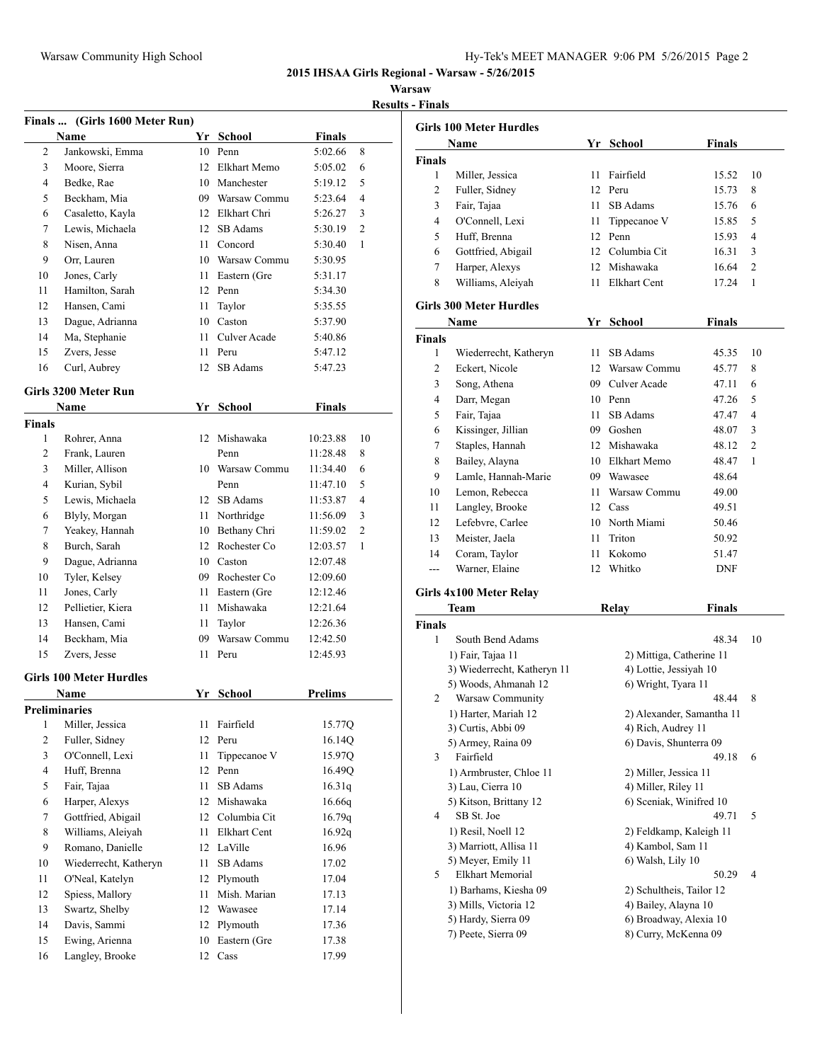#### **Warsaw**

**Results - Finals**

|                | Finals  (Girls 1600 Meter Run) |          |                      |                |                |
|----------------|--------------------------------|----------|----------------------|----------------|----------------|
|                | Name                           |          | Yr School            | <b>Finals</b>  |                |
| 2              | Jankowski, Emma                |          | 10 Penn              | 5:02.66        | 8              |
| 3              | Moore, Sierra                  |          | 12 Elkhart Memo      | 5:05.02        | 6              |
| 4              | Bedke, Rae                     |          | 10 Manchester        | 5:19.12        | 5              |
| 5              | Beckham, Mia                   |          | 09 Warsaw Commu      | 5:23.64        | 4              |
| 6              | Casaletto, Kayla               |          | 12 Elkhart Chri      | 5:26.27        | 3              |
| 7              | Lewis, Michaela                |          | 12 SB Adams          | 5:30.19        | $\overline{c}$ |
| 8              | Nisen, Anna                    |          | 11 Concord           | 5:30.40        | 1              |
| 9              | Orr, Lauren                    |          | 10 Warsaw Commu      | 5:30.95        |                |
| 10             | Jones, Carly                   |          | 11 Eastern (Gre      | 5:31.17        |                |
| 11             | Hamilton, Sarah                |          | 12 Penn              | 5:34.30        |                |
| 12             | Hansen, Cami                   | 11       | Taylor               | 5:35.55        |                |
| 13             | Dague, Adrianna                |          | 10 Caston            | 5:37.90        |                |
| 14             | Ma, Stephanie                  | 11       | Culver Acade         | 5:40.86        |                |
| 15             | Zvers, Jesse                   | 11       | Peru                 | 5:47.12        |                |
| 16             |                                | 12       | SB Adams             | 5:47.23        |                |
|                | Curl, Aubrey                   |          |                      |                |                |
|                | Girls 3200 Meter Run           |          |                      |                |                |
|                | <b>Name</b>                    |          | Yr School            | <b>Finals</b>  |                |
| <b>Finals</b>  |                                |          |                      |                |                |
| 1              | Rohrer, Anna                   |          | 12 Mishawaka         | 10:23.88       | 10             |
| 2              | Frank, Lauren                  |          | Penn                 | 11:28.48       | 8              |
| 3              | Miller, Allison                |          | 10 Warsaw Commu      | 11:34.40       | 6              |
| 4              | Kurian, Sybil                  |          | Penn                 | 11:47.10       | 5              |
| 5              | Lewis, Michaela                |          | 12 SB Adams          | 11:53.87       | $\overline{4}$ |
| 6              | Blyly, Morgan                  |          | 11 Northridge        | 11:56.09       | 3              |
| 7              | Yeakey, Hannah                 |          | 10 Bethany Chri      | 11:59.02       | 2              |
| 8              | Burch, Sarah                   |          | 12 Rochester Co      | 12:03.57       | 1              |
| 9              | Dague, Adrianna                |          | 10 Caston            | 12:07.48       |                |
| 10             | Tyler, Kelsey                  |          | 09 Rochester Co      | 12:09.60       |                |
| 11             | Jones, Carly                   |          | 11 Eastern (Gre      | 12:12.46       |                |
| 12             | Pellietier, Kiera              |          | 11 Mishawaka         | 12:21.64       |                |
| 13             | Hansen, Cami                   | 11       | Taylor               | 12:26.36       |                |
| 14             | Beckham, Mia                   | 09       | Warsaw Commu         | 12:42.50       |                |
| 15             | Zvers, Jesse                   | 11       | Peru                 | 12:45.93       |                |
|                | <b>Girls 100 Meter Hurdles</b> |          |                      |                |                |
|                | Name                           |          | Yr School            | <b>Prelims</b> |                |
|                | Preliminaries                  |          |                      |                |                |
| 1              | Miller, Jessica                | 11       | Fairfield            | 15.77Q         |                |
| $\sqrt{2}$     | Fuller, Sidney                 | 12       | Peru                 | 16.14Q         |                |
| 3              | O'Connell, Lexi                | 11       | Tippecanoe V         | 15.97Q         |                |
| $\overline{4}$ | Huff, Brenna                   | 12       | Penn                 | 16.49Q         |                |
| 5              | Fair, Tajaa                    | 11       | SB Adams             | 16.31q         |                |
| 6              | Harper, Alexys                 | 12       | Mishawaka            | 16.66q         |                |
| $\tau$         | Gottfried, Abigail             | 12       | Columbia Cit         | 16.79q         |                |
| 8              | Williams, Aleiyah              | 11       | <b>Elkhart Cent</b>  | 16.92q         |                |
| 9              | Romano, Danielle               | 12       | LaVille              | 16.96          |                |
| 10             | Wiederrecht, Katheryn          | 11       | SB Adams             | 17.02          |                |
| 11             | O'Neal, Katelyn                | 12       | Plymouth             | 17.04          |                |
| 12             | Spiess, Mallory                | 11       | Mish. Marian         | 17.13          |                |
| 13             | Swartz, Shelby<br>Davis, Sammi | 12       | Wawasee              | 17.14          |                |
| 14             | Ewing, Arienna                 | 12<br>10 | Plymouth             | 17.36          |                |
| 15<br>16       | Langley, Brooke                | 12       | Eastern (Gre<br>Cass | 17.38<br>17.99 |                |
|                |                                |          |                      |                |                |
|                |                                |          |                      |                |                |

|               | <b>Girls 100 Meter Hurdles</b>           |                  |                           |               |                |
|---------------|------------------------------------------|------------------|---------------------------|---------------|----------------|
|               | Name                                     |                  | Yr School                 | <b>Finals</b> |                |
| Finals        |                                          |                  |                           |               |                |
| 1             | Miller, Jessica                          | 11               | Fairfield                 | 15.52         | 10             |
| 2             | Fuller, Sidney                           | 12               | Peru                      | 15.73         | 8              |
| 3             | Fair, Tajaa                              | 11               | SB Adams                  | 15.76         | 6              |
| 4             | O'Connell, Lexi                          | 11               | Tippecanoe V              | 15.85         | 5              |
| 5             | Huff, Brenna                             | 12               | Penn                      | 15.93         | 4              |
| 6             | Gottfried, Abigail                       |                  | 12 Columbia Cit           | 16.31         | 3              |
| 7             | Harper, Alexys                           |                  | 12 Mishawaka              | 16.64         | $\overline{2}$ |
| 8             | Williams, Aleiyah                        | 11               | Elkhart Cent              | 17.24         | 1              |
|               | <b>Girls 300 Meter Hurdles</b>           |                  |                           |               |                |
|               | Name                                     |                  | Yr School                 | Finals        |                |
| <b>Finals</b> |                                          |                  |                           |               |                |
| 1             | Wiederrecht, Katheryn                    | 11.              | SB Adams                  | 45.35         | 10             |
| 2             | Eckert, Nicole                           | 12 <sup>12</sup> | Warsaw Commu              | 45.77         | 8              |
| 3             | Song, Athena                             | 09               | Culver Acade              | 47.11         | 6              |
| 4             | Darr, Megan                              |                  | 10 Penn                   | 47.26         | 5              |
| 5             | Fair, Tajaa                              | 11               | SB Adams                  | 47.47         | 4              |
| 6             | Kissinger, Jillian                       | 09               | Goshen                    | 48.07         | 3              |
| 7             | Staples, Hannah                          | $12-12$          | Mishawaka                 | 48.12         | 2              |
| 8             | Bailey, Alayna                           |                  | 10 Elkhart Memo           | 48.47         | 1              |
| 9             | Lamle, Hannah-Marie                      |                  | 09 Wawasee                | 48.64         |                |
| 10            | Lemon, Rebecca                           | 11.              | Warsaw Commu              | 49.00         |                |
| 11            | Langley, Brooke                          | 12               | Cass                      | 49.51         |                |
| 12            | Lefebvre, Carlee                         |                  | 10 North Miami            | 50.46         |                |
| 13            | Meister, Jaela                           | 11               | Triton                    | 50.92         |                |
| 14            | Coram, Taylor                            | 11.              | Kokomo                    | 51.47         |                |
| ---           | Warner, Elaine                           | 12               | Whitko                    | <b>DNF</b>    |                |
|               |                                          |                  |                           |               |                |
|               | Girls 4x100 Meter Relay                  |                  |                           |               |                |
|               | Team                                     |                  | Relay                     | <b>Finals</b> |                |
| <b>Finals</b> |                                          |                  |                           |               |                |
| 1             | South Bend Adams                         |                  |                           | 48.34         | 10             |
|               | 1) Fair, Tajaa 11                        |                  | 2) Mittiga, Catherine 11  |               |                |
|               | 3) Wiederrecht, Katheryn 11              |                  | 4) Lottie, Jessiyah 10    |               |                |
|               | 5) Woods, Ahmanah 12                     |                  | 6) Wright, Tyara 11       | 48.44         | 8              |
| 2             | Warsaw Community<br>1) Harter, Mariah 12 |                  | 2) Alexander, Samantha 11 |               |                |
|               | 3) Curtis, Abbi 09                       |                  | 4) Rich, Audrey 11        |               |                |
|               | 5) Armey, Raina 09                       |                  | 6) Davis, Shunterra 09    |               |                |
| 3             | Fairfield                                |                  |                           | 49.18         | 6              |
|               | 1) Armbruster, Chloe 11                  |                  | 2) Miller, Jessica 11     |               |                |
|               | 3) Lau, Cierra 10                        |                  | 4) Miller, Riley 11       |               |                |
|               | 5) Kitson, Brittany 12                   |                  | 6) Sceniak, Winifred 10   |               |                |
| 4             | SB St. Joe                               |                  |                           | 49.71         | 5              |
|               | 1) Resil, Noell 12                       |                  | 2) Feldkamp, Kaleigh 11   |               |                |
|               | 3) Marriott, Allisa 11                   |                  | 4) Kambol, Sam 11         |               |                |
|               | 5) Meyer, Emily 11                       |                  | 6) Walsh, Lily 10         |               |                |
| 5             | <b>Elkhart Memorial</b>                  |                  |                           | 50.29         | 4              |
|               | 1) Barhams, Kiesha 09                    |                  | 2) Schultheis, Tailor 12  |               |                |
|               | 3) Mills, Victoria 12                    |                  | 4) Bailey, Alayna 10      |               |                |
|               | 5) Hardy, Sierra 09                      |                  | 6) Broadway, Alexia 10    |               |                |
|               | 7) Peete, Sierra 09                      |                  | 8) Curry, McKenna 09      |               |                |
|               |                                          |                  |                           |               |                |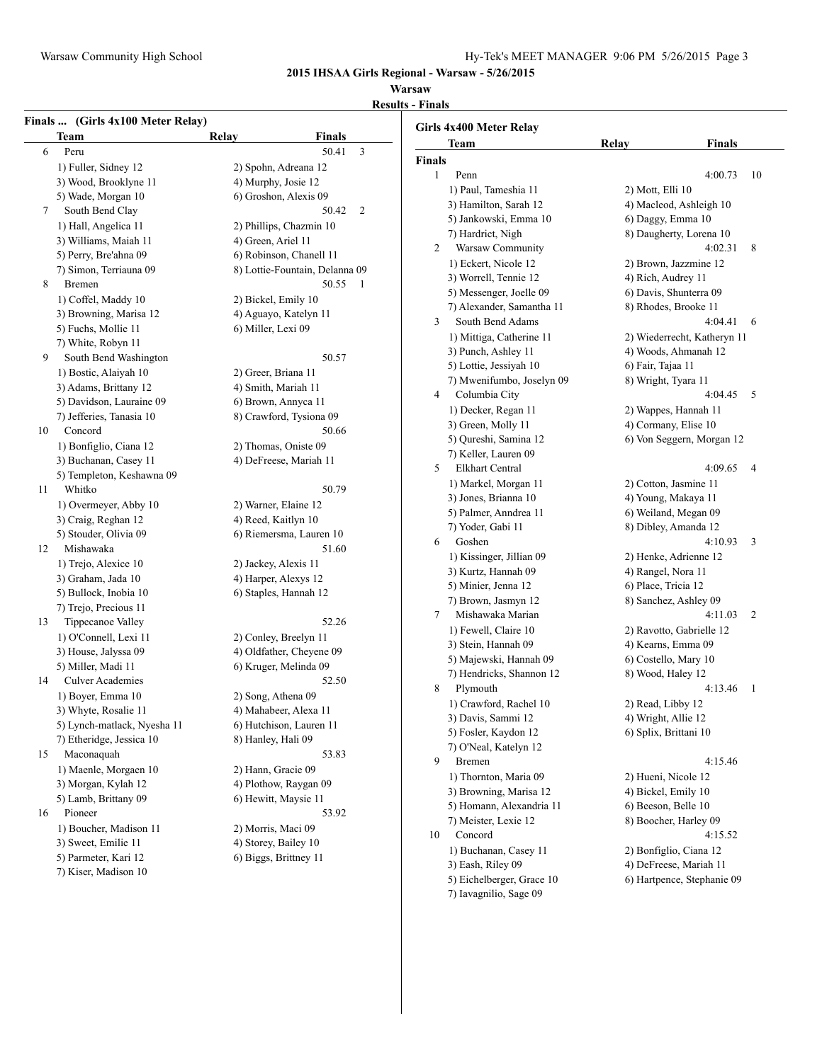#### **Warsaw**

**Results - Finals**

|    | Finals  (Girls 4x100 Meter Relay)<br><b>Team</b> | Relay<br><b>Finals</b>         | Girls 4x400 Meter Relay     |                        |                          |
|----|--------------------------------------------------|--------------------------------|-----------------------------|------------------------|--------------------------|
| 6  | Peru                                             | 50.41<br>$\mathfrak{Z}$        | Team                        | Relay                  | Final                    |
|    | 1) Fuller, Sidney 12                             | 2) Spohn, Adreana 12           | <b>Finals</b>               |                        |                          |
|    | 3) Wood, Brooklyne 11                            | 4) Murphy, Josie 12            | Penn<br>1                   |                        | 4:00.7                   |
|    | 5) Wade, Morgan 10                               | 6) Groshon, Alexis 09          | 1) Paul, Tameshia 11        | 2) Mott, Elli 10       |                          |
| 7  | South Bend Clay                                  | 50.42<br>2                     | 3) Hamilton, Sarah 12       |                        | 4) Macleod, Ashleigh 10  |
|    | 1) Hall, Angelica 11                             | 2) Phillips, Chazmin 10        | 5) Jankowski, Emma 10       | 6) Daggy, Emma 10      |                          |
|    | 3) Williams, Maiah 11                            | 4) Green, Ariel 11             | 7) Hardrict, Nigh           |                        | 8) Daugherty, Lorena 10  |
|    | 5) Perry, Bre'ahna 09                            | 6) Robinson, Chanell 11        | Warsaw Community<br>2       |                        | 4:02.3                   |
|    | 7) Simon, Terriauna 09                           | 8) Lottie-Fountain, Delanna 09 | 1) Eckert, Nicole 12        |                        | 2) Brown, Jazzmine 12    |
| 8  | Bremen                                           | 50.55<br>$\overline{1}$        | 3) Worrell, Tennie 12       | 4) Rich, Audrey 11     |                          |
|    | 1) Coffel, Maddy 10                              | 2) Bickel, Emily 10            | 5) Messenger, Joelle 09     | 6) Davis, Shunterra 09 |                          |
|    | 3) Browning, Marisa 12                           | 4) Aguayo, Katelyn 11          | 7) Alexander, Samantha 11   | 8) Rhodes, Brooke 11   |                          |
|    | 5) Fuchs, Mollie 11                              | 6) Miller, Lexi 09             | South Bend Adams<br>3       |                        | 4:04.4                   |
|    | 7) White, Robyn 11                               |                                | 1) Mittiga, Catherine 11    |                        | 2) Wiederrecht, Katheryr |
| 9  | South Bend Washington                            | 50.57                          | 3) Punch, Ashley 11         |                        | 4) Woods, Ahmanah 12     |
|    | 1) Bostic, Alaiyah 10                            | 2) Greer, Briana 11            | 5) Lottie, Jessiyah 10      | 6) Fair, Tajaa 11      |                          |
|    | 3) Adams, Brittany 12                            | 4) Smith, Mariah 11            | 7) Mwenifumbo, Joselyn 09   | 8) Wright, Tyara 11    |                          |
|    | 5) Davidson, Lauraine 09                         | 6) Brown, Annyca 11            | Columbia City<br>4          |                        | 4:04.4                   |
|    | 7) Jefferies, Tanasia 10                         | 8) Crawford, Tysiona 09        | 1) Decker, Regan 11         | 2) Wappes, Hannah 11   |                          |
| 10 | Concord                                          | 50.66                          | 3) Green, Molly 11          | 4) Cormany, Elise 10   |                          |
|    |                                                  |                                | 5) Qureshi, Samina 12       |                        | 6) Von Seggern, Morgan   |
|    | 1) Bonfiglio, Ciana 12                           | 2) Thomas, Oniste 09           | 7) Keller, Lauren 09        |                        |                          |
|    | 3) Buchanan, Casey 11                            | 4) DeFreese, Mariah 11         | <b>Elkhart Central</b><br>5 |                        | 4:09.6                   |
|    | 5) Templeton, Keshawna 09                        |                                | 1) Markel, Morgan 11        | 2) Cotton, Jasmine 11  |                          |
| 11 | Whitko                                           | 50.79                          | 3) Jones, Brianna 10        | 4) Young, Makaya 11    |                          |
|    | 1) Overmeyer, Abby 10                            | 2) Warner, Elaine 12           | 5) Palmer, Anndrea 11       | 6) Weiland, Megan 09   |                          |
|    | 3) Craig, Reghan 12                              | 4) Reed, Kaitlyn 10            | 7) Yoder, Gabi 11           | 8) Dibley, Amanda 12   |                          |
|    | 5) Stouder, Olivia 09                            | 6) Riemersma, Lauren 10        | Goshen<br>6                 |                        | 4:10.9                   |
| 12 | Mishawaka                                        | 51.60                          | 1) Kissinger, Jillian 09    |                        | 2) Henke, Adrienne 12    |
|    | 1) Trejo, Alexice 10                             | 2) Jackey, Alexis 11           | 3) Kurtz, Hannah 09         | 4) Rangel, Nora 11     |                          |
|    | 3) Graham, Jada 10                               | 4) Harper, Alexys 12           | 5) Minier, Jenna 12         | 6) Place, Tricia 12    |                          |
|    | 5) Bullock, Inobia 10                            | 6) Staples, Hannah 12          | 7) Brown, Jasmyn 12         | 8) Sanchez, Ashley 09  |                          |
|    | 7) Trejo, Precious 11                            |                                | Mishawaka Marian<br>7       |                        | 4:11.0                   |
| 13 | Tippecanoe Valley                                | 52.26                          | 1) Fewell, Claire 10        |                        | 2) Ravotto, Gabrielle 12 |
|    | 1) O'Connell, Lexi 11                            | 2) Conley, Breelyn 11          | 3) Stein, Hannah 09         | 4) Kearns, Emma 09     |                          |
|    | 3) House, Jalyssa 09                             | 4) Oldfather, Cheyene 09       | 5) Majewski, Hannah 09      | 6) Costello, Mary 10   |                          |
|    | 5) Miller, Madi 11                               | 6) Kruger, Melinda 09          | 7) Hendricks, Shannon 12    | 8) Wood, Haley 12      |                          |
| 14 | <b>Culver Academies</b>                          | 52.50                          | Plymouth<br>8               |                        | 4:13.4                   |
|    | 1) Boyer, Emma 10                                | 2) Song, Athena 09             | 1) Crawford, Rachel 10      | 2) Read, Libby 12      |                          |
|    | 3) Whyte, Rosalie 11                             | 4) Mahabeer, Alexa 11          | 3) Davis, Sammi 12          | 4) Wright, Allie 12    |                          |
|    | 5) Lynch-matlack, Nyesha 11                      | 6) Hutchison, Lauren 11        | 5) Fosler, Kaydon 12        | 6) Splix, Brittani 10  |                          |
|    | 7) Etheridge, Jessica 10                         | 8) Hanley, Hali 09             | 7) O'Neal, Katelyn 12       |                        |                          |
| 15 | Maconaquah                                       | 53.83                          | Bremen<br>9                 |                        | 4:15.4                   |
|    | 1) Maenle, Morgaen 10                            | 2) Hann, Gracie 09             | 1) Thornton, Maria 09       | 2) Hueni, Nicole 12    |                          |
|    | 3) Morgan, Kylah 12                              | 4) Plothow, Raygan 09          | 3) Browning, Marisa 12      | 4) Bickel, Emily 10    |                          |
|    | 5) Lamb, Brittany 09                             | 6) Hewitt, Maysie 11           | 5) Homann, Alexandria 11    | 6) Beeson, Belle 10    |                          |
| 16 | Pioneer                                          | 53.92                          | 7) Meister, Lexie 12        | 8) Boocher, Harley 09  |                          |
|    | 1) Boucher, Madison 11                           | 2) Morris, Maci 09             | Concord<br>10               |                        | 4:15.5                   |
|    | 3) Sweet, Emilie 11                              | 4) Storey, Bailey 10           |                             |                        |                          |
|    | 5) Parmeter, Kari 12                             | 6) Biggs, Brittney 11          | 1) Buchanan, Casey 11       | 2) Bonfiglio, Ciana 12 |                          |
|    | 7) Kiser, Madison 10                             |                                | 3) Eash, Riley 09           |                        | 4) DeFreese, Mariah 11   |
|    |                                                  |                                | 5) Eichelberger, Grace 10   |                        | 6) Hartpence, Stephanie  |

7) Iavagnilio, Sage 09

## 3) Daugherty, Lorena 10  $4:02.31$  8 2) Brown, Jazzmine 12 4) Rich, Audrey 11 5) Davis, Shunterra 09 8) Rhodes, Brooke 11  $4:04.41$  6 2) Wiederrecht, Katheryn 11 4) Woods, Ahmanah 12 5) Fair, Tajaa 11 3) Wright, Tyara 11  $4:04.45$  5 2) Wappes, Hannah 11 4) Cormany, Elise 10 6) Von Seggern, Morgan 12  $4:09.65$  4 2) Cotton, Jasmine 11 4) Young, Makaya 11 5) Weiland, Megan 09 3) Dibley, Amanda 12 4:10.93 3 2) Henke, Adrienne 12 4) Rangel, Nora 11 5) Place, Tricia 12 3) Sanchez, Ashley 09  $4:11.03$  2 2) Ravotto, Gabrielle 12 4) Kearns, Emma 09 5) Costello, Mary 10 3) Wood, Haley 12  $4:13.46$  1 2) Read, Libby 12 4) Wright, Allie 12 5) Splix, Brittani 10 4:15.46 2) Hueni, Nicole 12 4) Bickel, Emily 10 5) Beeson, Belle 10 3) Boocher, Harley 09 4:15.52 2) Bonfiglio, Ciana 12 4) DeFreese, Mariah 11 5) Hartpence, Stephanie 09

**Finals** 

 $4:00.73$  10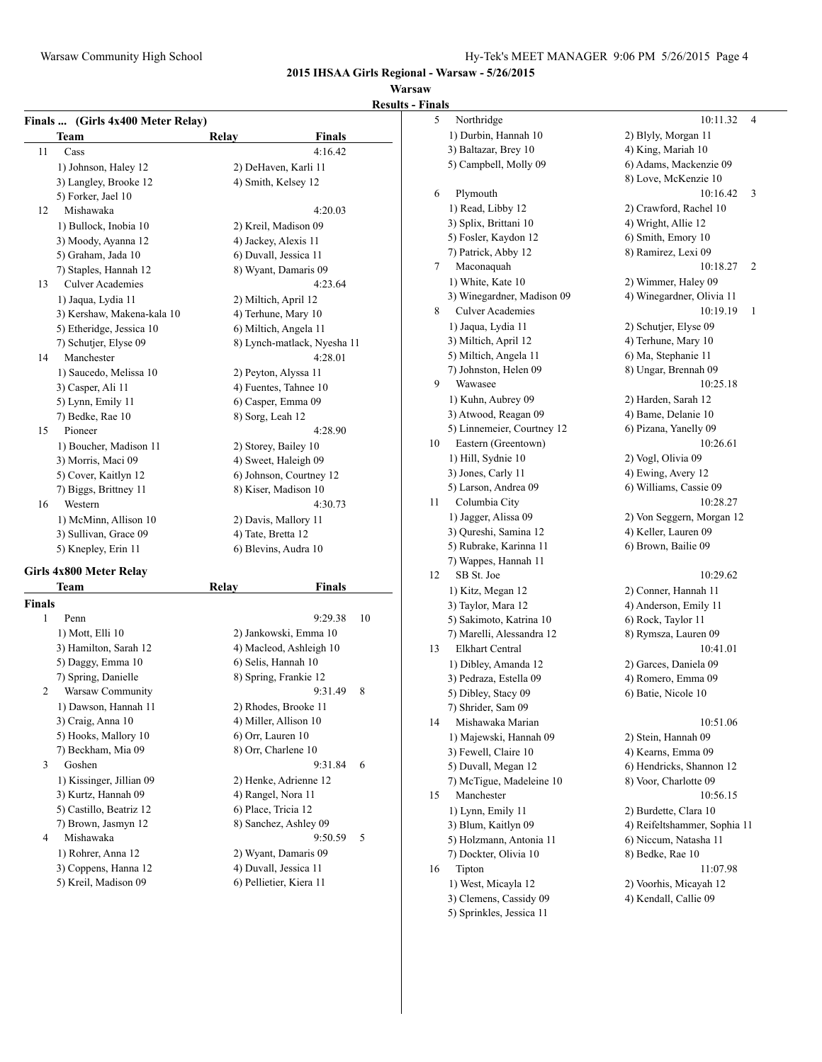## **Warsaw**

**Results - Fin** 

|    | <b>Team</b>                | Relay              | <b>Finals</b>               |
|----|----------------------------|--------------------|-----------------------------|
| 11 | Cass                       |                    | 4:16.42                     |
|    | 1) Johnson, Haley 12       |                    | 2) DeHaven, Karli 11        |
|    | 3) Langley, Brooke 12      |                    | 4) Smith, Kelsey 12         |
|    | 5) Forker, Jael 10         |                    |                             |
| 12 | Mishawaka                  |                    | 4:20.03                     |
|    | 1) Bullock, Inobia 10      |                    | 2) Kreil, Madison 09        |
|    | 3) Moody, Ayanna 12        |                    | 4) Jackey, Alexis 11        |
|    | 5) Graham, Jada 10         |                    | 6) Duvall, Jessica 11       |
|    | 7) Staples, Hannah 12      |                    | 8) Wyant, Damaris 09        |
| 13 | <b>Culver Academies</b>    |                    | 4:23.64                     |
|    | 1) Jaqua, Lydia 11         |                    | 2) Miltich, April 12        |
|    | 3) Kershaw, Makena-kala 10 |                    | 4) Terhune, Mary 10         |
|    | 5) Etheridge, Jessica 10   |                    | 6) Miltich, Angela 11       |
|    | 7) Schutjer, Elyse 09      |                    | 8) Lynch-matlack, Nyesha 11 |
| 14 | Manchester                 |                    | 4:28.01                     |
|    | 1) Saucedo, Melissa 10     |                    | 2) Peyton, Alyssa 11        |
|    | 3) Casper, Ali 11          |                    | 4) Fuentes, Tahnee 10       |
|    | 5) Lynn, Emily 11          |                    | 6) Casper, Emma 09          |
|    | 7) Bedke, Rae 10           | 8) Sorg, Leah 12   |                             |
| 15 | Pioneer                    |                    | 4:28.90                     |
|    | 1) Boucher, Madison 11     |                    | 2) Storey, Bailey 10        |
|    | 3) Morris, Maci 09         |                    | 4) Sweet, Haleigh 09        |
|    | 5) Cover, Kaitlyn 12       |                    | 6) Johnson, Courtney 12     |
|    | 7) Biggs, Brittney 11      |                    | 8) Kiser, Madison 10        |
| 16 | Western                    |                    | 4:30.73                     |
|    | 1) McMinn, Allison 10      |                    | 2) Davis, Mallory 11        |
|    | 3) Sullivan, Grace 09      | 4) Tate, Bretta 12 |                             |
|    | 5) Knepley, Erin 11        |                    | 6) Blevins, Audra 10        |

## **Girls 4x800 Meter Relay**

|               | Team                     | Relay                   | Finals  |    |
|---------------|--------------------------|-------------------------|---------|----|
| <b>Finals</b> |                          |                         |         |    |
| 1             | Penn                     |                         | 9:29.38 | 10 |
|               | 1) Mott, Elli 10         | 2) Jankowski, Emma 10   |         |    |
|               | 3) Hamilton, Sarah 12    | 4) Macleod, Ashleigh 10 |         |    |
|               | 5) Daggy, Emma 10        | 6) Selis, Hannah 10     |         |    |
|               | 7) Spring, Danielle      | 8) Spring, Frankie 12   |         |    |
| 2             | Warsaw Community         |                         | 9:31.49 | 8  |
|               | 1) Dawson, Hannah 11     | 2) Rhodes, Brooke 11    |         |    |
|               | 3) Craig, Anna 10        | 4) Miller, Allison 10   |         |    |
|               | 5) Hooks, Mallory 10     | 6) Orr, Lauren 10       |         |    |
|               | 7) Beckham, Mia 09       | 8) Orr, Charlene 10     |         |    |
| 3             | Goshen                   |                         | 9:31.84 | 6  |
|               | 1) Kissinger, Jillian 09 | 2) Henke, Adrienne 12   |         |    |
|               | 3) Kurtz, Hannah 09      | 4) Rangel, Nora 11      |         |    |
|               | 5) Castillo, Beatriz 12  | 6) Place, Tricia 12     |         |    |
|               | 7) Brown, Jasmyn 12      | 8) Sanchez, Ashley 09   |         |    |
| 4             | Mishawaka                |                         | 9:50.59 | 5  |
|               | 1) Rohrer, Anna 12       | 2) Wyant, Damaris 09    |         |    |
|               | 3) Coppens, Hanna 12     | 4) Duvall, Jessica 11   |         |    |
|               | 5) Kreil, Madison 09     | 6) Pellietier, Kiera 11 |         |    |
|               |                          |                         |         |    |

| nals |                            |                              |                         |
|------|----------------------------|------------------------------|-------------------------|
| 5    | Northridge                 | 10:11.32                     | 4                       |
|      | 1) Durbin, Hannah 10       | 2) Blyly, Morgan 11          |                         |
|      | 3) Baltazar, Brey 10       | 4) King, Mariah 10           |                         |
|      | 5) Campbell, Molly 09      | 6) Adams, Mackenzie 09       |                         |
|      |                            | 8) Love, McKenzie 10         |                         |
| 6    | Plymouth                   | 10:16.42                     | 3                       |
|      | 1) Read, Libby 12          | 2) Crawford, Rachel 10       |                         |
|      | 3) Splix, Brittani 10      | 4) Wright, Allie 12          |                         |
|      | 5) Fosler, Kaydon 12       | 6) Smith, Emory 10           |                         |
|      | 7) Patrick, Abby 12        | 8) Ramirez, Lexi 09          |                         |
| 7    | Maconaquah                 | 10:18.27                     | $\overline{\mathbf{c}}$ |
|      | 1) White, Kate 10          | 2) Wimmer, Haley 09          |                         |
|      | 3) Winegardner, Madison 09 | 4) Winegardner, Olivia 11    |                         |
| 8    | <b>Culver Academies</b>    | 10:19.19                     | 1                       |
|      | 1) Jaqua, Lydia 11         | 2) Schutjer, Elyse 09        |                         |
|      | 3) Miltich, April 12       | 4) Terhune, Mary 10          |                         |
|      | 5) Miltich, Angela 11      | 6) Ma, Stephanie 11          |                         |
|      | 7) Johnston, Helen 09      | 8) Ungar, Brennah 09         |                         |
| 9    | Wawasee                    | 10:25.18                     |                         |
|      | 1) Kuhn, Aubrey 09         | 2) Harden, Sarah 12          |                         |
|      | 3) Atwood, Reagan 09       | 4) Bame, Delanie 10          |                         |
|      | 5) Linnemeier, Courtney 12 | 6) Pizana, Yanelly 09        |                         |
| 10   | Eastern (Greentown)        | 10:26.61                     |                         |
|      | 1) Hill, Sydnie 10         | 2) Vogl, Olivia 09           |                         |
|      | 3) Jones, Carly 11         | 4) Ewing, Avery 12           |                         |
|      | 5) Larson, Andrea 09       | 6) Williams, Cassie 09       |                         |
| 11   | Columbia City              | 10:28.27                     |                         |
|      | 1) Jagger, Alissa 09       | 2) Von Seggern, Morgan 12    |                         |
|      | 3) Qureshi, Samina 12      | 4) Keller, Lauren 09         |                         |
|      | 5) Rubrake, Karinna 11     | 6) Brown, Bailie 09          |                         |
|      | 7) Wappes, Hannah 11       |                              |                         |
| 12   | SB St. Joe                 | 10:29.62                     |                         |
|      | 1) Kitz, Megan 12          | 2) Conner, Hannah 11         |                         |
|      | 3) Taylor, Mara 12         | 4) Anderson, Emily 11        |                         |
|      | 5) Sakimoto, Katrina 10    | 6) Rock, Taylor 11           |                         |
|      | 7) Marelli, Alessandra 12  | 8) Rymsza, Lauren 09         |                         |
| 13   | <b>Elkhart Central</b>     | 10:41.01                     |                         |
|      | 1) Dibley, Amanda 12       | 2) Garces, Daniela 09        |                         |
|      | 3) Pedraza, Estella 09     | 4) Romero, Emma 09           |                         |
|      | 5) Dibley, Stacy 09        | 6) Batie, Nicole 10          |                         |
|      | 7) Shrider, Sam 09         |                              |                         |
| 14   | Mishawaka Marian           | 10:51.06                     |                         |
|      | 1) Majewski, Hannah 09     | 2) Stein, Hannah 09          |                         |
|      | 3) Fewell, Claire 10       | 4) Kearns, Emma 09           |                         |
|      | 5) Duvall, Megan 12        | 6) Hendricks, Shannon 12     |                         |
|      | 7) McTigue, Madeleine 10   | 8) Voor, Charlotte 09        |                         |
| 15   | Manchester                 | 10:56.15                     |                         |
|      | 1) Lynn, Emily 11          | 2) Burdette, Clara 10        |                         |
|      | 3) Blum, Kaitlyn 09        | 4) Reifeltshammer, Sophia 11 |                         |
|      | 5) Holzmann, Antonia 11    | 6) Niccum, Natasha 11        |                         |
|      | 7) Dockter, Olivia 10      | 8) Bedke, Rae 10             |                         |
| 16   | Tipton                     | 11:07.98                     |                         |
|      | 1) West, Micayla 12        | 2) Voorhis, Micayah 12       |                         |
|      | 3) Clemens, Cassidy 09     | 4) Kendall, Callie 09        |                         |
|      | 5) Sprinkles, Jessica 11   |                              |                         |
|      |                            |                              |                         |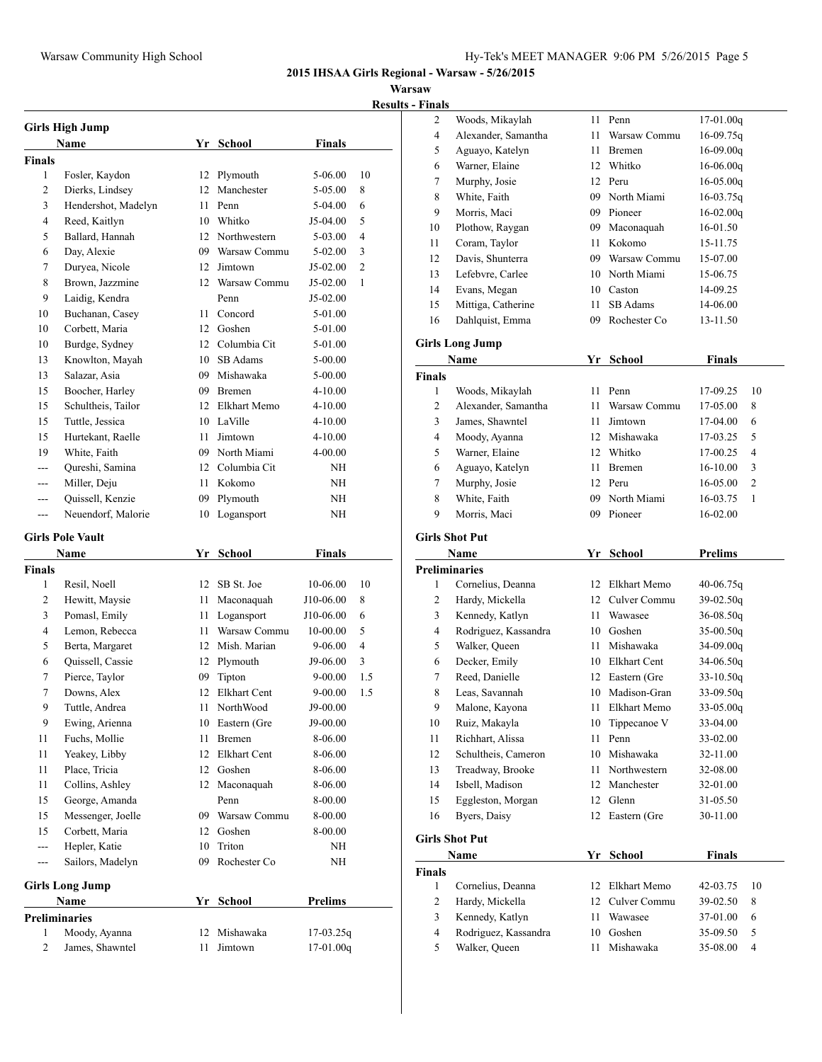## **Warsaw**

**Results - Finals**

|                           | <b>Girls High Jump</b>  |      |                     |                |     |
|---------------------------|-------------------------|------|---------------------|----------------|-----|
|                           | <b>Name</b>             |      | Yr School           | Finals         |     |
| <b>Finals</b>             |                         |      |                     |                |     |
| 1                         | Fosler, Kaydon          | 12   | Plymouth            | 5-06.00        | 10  |
| 2                         | Dierks, Lindsey         | 12   | Manchester          | 5-05.00        | 8   |
| 3                         | Hendershot, Madelyn     |      | 11 Penn             | 5-04.00        | 6   |
| 4                         | Reed, Kaitlyn           |      | 10 Whitko           | J5-04.00       | 5   |
| 5                         | Ballard, Hannah         |      | 12 Northwestern     | 5-03.00        | 4   |
| 6                         | Day, Alexie             |      | 09 Warsaw Commu     | 5-02.00        | 3   |
| 7                         | Duryea, Nicole          |      | 12 Jimtown          | J5-02.00       | 2   |
| 8                         | Brown, Jazzmine         |      | 12 Warsaw Commu     | J5-02.00       | 1   |
| 9                         | Laidig, Kendra          |      | Penn                | J5-02.00       |     |
| 10                        | Buchanan, Casey         | 11 - | Concord             | 5-01.00        |     |
| 10                        | Corbett, Maria          |      | 12 Goshen           | 5-01.00        |     |
| 10                        | Burdge, Sydney          |      | 12 Columbia Cit     | 5-01.00        |     |
| 13                        | Knowlton, Mayah         |      | 10 SB Adams         | 5-00.00        |     |
| 13                        | Salazar, Asia           |      | 09 Mishawaka        | 5-00.00        |     |
| 15                        | Boocher, Harley         |      | 09 Bremen           | 4-10.00        |     |
| 15                        | Schultheis, Tailor      |      | 12 Elkhart Memo     | 4-10.00        |     |
| 15                        | Tuttle, Jessica         |      | 10 LaVille          | $4 - 10.00$    |     |
| 15                        | Hurtekant, Raelle       | 11   | Jimtown             | 4-10.00        |     |
| 19                        | White, Faith            |      | 09 North Miami      | 4-00.00        |     |
|                           | Qureshi, Samina         |      | 12 Columbia Cit     |                |     |
| ---                       |                         |      |                     | NΗ             |     |
| $---$                     | Miller, Deju            | 11   | Kokomo              | NΗ             |     |
| ---                       | Quissell, Kenzie        | 09   | Plymouth            | NΗ             |     |
| ---                       | Neuendorf, Malorie      | 10   | Logansport          | ΝH             |     |
|                           | <b>Girls Pole Vault</b> |      |                     |                |     |
|                           | Name                    | Yr   | School              | <b>Finals</b>  |     |
| <b>Finals</b>             |                         |      |                     |                |     |
| 1                         | Resil, Noell            |      | 12 SB St. Joe       | 10-06.00       | 10  |
| 2                         | Hewitt, Maysie          | 11   | Maconaquah          | J10-06.00      | 8   |
| 3                         | Pomasl, Emily           | 11   | Logansport          | J10-06.00      | 6   |
| 4                         | Lemon, Rebecca          | 11 - | Warsaw Commu        | 10-00.00       | 5   |
| 5                         | Berta, Margaret         |      | 12 Mish. Marian     | 9-06.00        | 4   |
| 6                         | Quissell, Cassie        |      | 12 Plymouth         | J9-06.00       | 3   |
| 7                         | Pierce, Taylor          | 09   | Tipton              | 9-00.00        | 1.5 |
| 7                         | Downs, Alex             | 12   | <b>Elkhart Cent</b> | 9-00.00        | 1.5 |
| 9                         | Tuttle, Andrea          |      | 11 NorthWood        | J9-00.00       |     |
| 9                         | Ewing, Arienna          | 10   | Eastern (Gre        | J9-00.00       |     |
| 11                        | Fuchs, Mollie           | 11   | Bremen              | 8-06.00        |     |
| 11                        | Yeakey, Libby           | 12   | Elkhart Cent        | $8 - 06.00$    |     |
| 11                        | Place, Tricia           | 12   | Goshen              | 8-06.00        |     |
| 11                        | Collins, Ashley         |      | 12 Maconaquah       | 8-06.00        |     |
| 15                        | George, Amanda          |      | Penn                | 8-00.00        |     |
| 15                        | Messenger, Joelle       |      | 09 Warsaw Commu     | 8-00.00        |     |
| 15                        | Corbett, Maria          |      | 12 Goshen           | 8-00.00        |     |
| ---                       | Hepler, Katie           | 10   | Triton              | NΗ             |     |
| $---$                     | Sailors, Madelyn        | 09   | Rochester Co        | NΗ             |     |
|                           |                         |      |                     |                |     |
|                           | <b>Girls Long Jump</b>  |      |                     |                |     |
|                           | Name                    | Yr   | <b>School</b>       | <b>Prelims</b> |     |
| <b>Preliminaries</b><br>1 | Moody, Ayanna           | 12   | Mishawaka           | $17-03.25q$    |     |
| $\mathbf{2}$              | James, Shawntel         | 11   | Jimtown             | 17-01.00q      |     |
|                           |                         |      |                     |                |     |

| 2                    | Woods, Mikaylah        | 11 | Penn            | $17-01.00q$    |
|----------------------|------------------------|----|-----------------|----------------|
| $\overline{4}$       | Alexander, Samantha    | 11 | Warsaw Commu    | $16-09.75q$    |
| 5                    | Aguayo, Katelyn        | 11 | <b>Bremen</b>   | 16-09.00g      |
| 6                    | Warner, Elaine         | 12 | Whitko          | $16-06.00q$    |
| 7                    | Murphy, Josie          |    | 12 Peru         | $16 - 05.00q$  |
| 8                    | White, Faith           | 09 | North Miami     | $16-03.75q$    |
| 9                    | Morris, Maci           | 09 | Pioneer         | $16 - 02.00q$  |
| 10                   | Plothow, Raygan        | 09 | Maconaquah      | 16-01.50       |
| 11                   | Coram, Taylor          | 11 | Kokomo          | 15-11.75       |
| 12                   | Davis, Shunterra       |    | 09 Warsaw Commu | 15-07.00       |
| 13                   | Lefebvre, Carlee       |    | 10 North Miami  | 15-06.75       |
| 14                   | Evans, Megan           |    | 10 Caston       | 14-09.25       |
| 15                   | Mittiga, Catherine     | 11 | SB Adams        | 14-06.00       |
| 16                   | Dahlquist, Emma        | 09 | Rochester Co    | 13-11.50       |
|                      | <b>Girls Long Jump</b> |    |                 |                |
|                      | Name                   | Yr | School          | <b>Finals</b>  |
| <b>Finals</b>        |                        |    |                 |                |
| 1                    | Woods, Mikaylah        | 11 | Penn            | 17-09.25<br>10 |
| $\mathfrak{2}$       | Alexander, Samantha    | 11 | Warsaw Commu    | 17-05.00<br>8  |
| 3                    | James, Shawntel        | 11 | Jimtown         | 17-04.00<br>6  |
| 4                    | Moody, Ayanna          |    | 12 Mishawaka    | 5<br>17-03.25  |
| 5                    | Warner, Elaine         |    | 12 Whitko       | 4<br>17-00.25  |
| 6                    | Aguayo, Katelyn        | 11 | <b>Bremen</b>   | 16-10.00<br>3  |
| 7                    | Murphy, Josie          |    | 12 Peru         | 2<br>16-05.00  |
| 8                    | White, Faith           | 09 | North Miami     | 1<br>16-03.75  |
| 9                    | Morris, Maci           | 09 | Pioneer         | 16-02.00       |
|                      |                        |    |                 |                |
|                      | <b>Girls Shot Put</b>  |    |                 |                |
|                      |                        |    |                 |                |
|                      | Name                   | Yr | <b>School</b>   | <b>Prelims</b> |
| <b>Preliminaries</b> |                        |    |                 |                |
| 1                    | Cornelius, Deanna      |    | 12 Elkhart Memo | 40-06.75q      |
| 2                    | Hardy, Mickella        |    | 12 Culver Commu | $39-02.50q$    |
| 3                    | Kennedy, Katlyn        | 11 | Wawasee         | $36 - 08.50q$  |
| 4                    | Rodriguez, Kassandra   |    | 10 Goshen       | $35-00.50q$    |
| 5                    | Walker, Queen          | 11 | Mishawaka       | $34-09.00q$    |
| 6                    | Decker, Emily          |    | 10 Elkhart Cent | $34-06.50q$    |
| 7                    | Reed, Danielle         | 12 | Eastern (Gre    | $33-10.50q$    |
| 8                    | Leas, Savannah         | 10 | Madison-Gran    | 33-09.50q      |
| 9                    | Malone, Kayona         | 11 | Elkhart Memo    | 33-05.00q      |
| 10                   | Ruiz, Makayla          | 10 | Tippecanoe V    | 33-04.00       |
| 11                   | Richhart, Alissa       | 11 | Penn            | 33-02.00       |
| 12                   | Schultheis, Cameron    | 10 | Mishawaka       | 32-11.00       |
| 13                   | Treadway, Brooke       | 11 | Northwestern    | 32-08.00       |
| 14                   | Isbell, Madison        | 12 | Manchester      | 32-01.00       |
| 15                   | Eggleston, Morgan      | 12 | Glenn           | 31-05.50       |
| 16                   | Byers, Daisy           | 12 | Eastern (Gre    | 30-11.00       |
|                      | <b>Girls Shot Put</b>  |    |                 |                |
|                      | Name                   | Yr | <b>School</b>   | <b>Finals</b>  |
| <b>Finals</b>        |                        |    |                 |                |
| 1                    | Cornelius, Deanna      | 12 | Elkhart Memo    | 10<br>42-03.75 |
| $\overline{c}$       | Hardy, Mickella        | 12 | Culver Commu    | 39-02.50<br>8  |
| 3                    | Kennedy, Katlyn        | 11 | Wawasee         | 6<br>37-01.00  |
| $\overline{4}$       | Rodriguez, Kassandra   | 10 | Goshen          | 35-09.50<br>5  |
| 5                    | Walker, Queen          | 11 | Mishawaka       | 4<br>35-08.00  |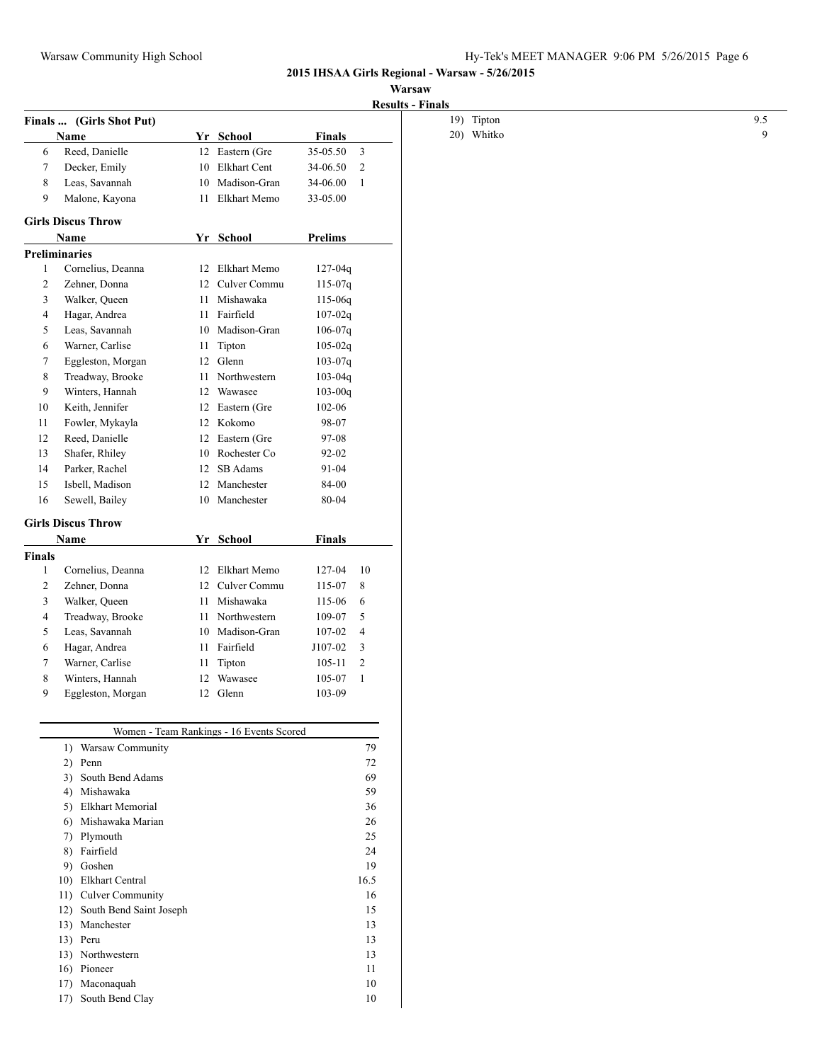## **Warsaw**

|                |                             |    |                                          |               | <b>Results - Finals</b> |
|----------------|-----------------------------|----|------------------------------------------|---------------|-------------------------|
|                | Finals  (Girls Shot Put)    |    |                                          |               |                         |
|                | <b>Name</b>                 |    | Yr School                                | <b>Finals</b> |                         |
| 6              | Reed, Danielle              |    | 12 Eastern (Gre                          | 35-05.50      | $\mathfrak{Z}$          |
| 7              | Decker, Emily               |    | 10 Elkhart Cent                          | 34-06.50      | 2                       |
| $\,8\,$        | Leas, Savannah              | 10 | Madison-Gran                             | 34-06.00      | $\mathbf{1}$            |
| 9              | Malone, Kayona              | 11 | Elkhart Memo                             | 33-05.00      |                         |
|                | <b>Girls Discus Throw</b>   |    |                                          |               |                         |
|                | Name                        |    | Yr School                                | Prelims       |                         |
|                | <b>Preliminaries</b>        |    |                                          |               |                         |
| $\mathbf{1}$   | Cornelius, Deanna           |    | 12 Elkhart Memo                          | $127 - 04q$   |                         |
| $\overline{c}$ | Zehner, Donna               |    | 12 Culver Commu                          | $115-07q$     |                         |
| 3              | Walker, Queen               |    | 11 Mishawaka                             | 115-06q       |                         |
| 4              | Hagar, Andrea               |    | 11 Fairfield                             | $107 - 02q$   |                         |
| 5              | Leas, Savannah              | 10 | Madison-Gran                             | $106-07q$     |                         |
| 6              | Warner, Carlise             | 11 | Tipton                                   | $105 - 02q$   |                         |
| 7              | Eggleston, Morgan           |    | 12 Glenn                                 | $103 - 07q$   |                         |
| 8              | Treadway, Brooke            |    | 11 Northwestern                          | $103 - 04q$   |                         |
| 9              | Winters, Hannah             | 12 | Wawasee                                  | $103 - 00q$   |                         |
| 10             | Keith, Jennifer             | 12 | Eastern (Gre                             | 102-06        |                         |
| 11             | Fowler, Mykayla             |    | 12 Kokomo                                | 98-07         |                         |
| 12             | Reed, Danielle              | 12 | Eastern (Gre                             | 97-08         |                         |
| 13             | Shafer, Rhiley              | 10 | Rochester Co                             | 92-02         |                         |
| 14             | Parker, Rachel              |    | 12 SB Adams                              | 91-04         |                         |
| 15             | Isbell, Madison             |    | 12 Manchester                            | 84-00         |                         |
| 16             | Sewell, Bailey              |    | 10 Manchester                            | 80-04         |                         |
|                | <b>Girls Discus Throw</b>   |    |                                          |               |                         |
|                | Name                        |    | Yr School                                | Finals        |                         |
| <b>Finals</b>  |                             |    |                                          |               |                         |
| $\mathbf{1}$   | Cornelius, Deanna           |    | 12 Elkhart Memo                          | 127-04        | 10                      |
| $\overline{2}$ | Zehner, Donna               |    | 12 Culver Commu                          | 115-07        | 8                       |
| 3              | Walker, Queen               | 11 | Mishawaka                                | 115-06        | 6                       |
| 4              | Treadway, Brooke            | 11 | Northwestern                             | 109-07        | 5                       |
| 5              | Leas, Savannah              | 10 | Madison-Gran                             | $107 - 02$    | $\overline{4}$          |
| 6              | Hagar, Andrea               | 11 | Fairfield                                | J107-02       | 3                       |
| 7              | Warner, Carlise             |    | 11 Tipton                                | $105 - 11$    | $\overline{2}$          |
| 8              | Winters, Hannah             |    | 12 Wawasee                               | 105-07        | -1                      |
| 9              | Eggleston, Morgan           |    | 12 Glenn                                 | 103-09        |                         |
|                |                             |    |                                          |               |                         |
|                |                             |    | Women - Team Rankings - 16 Events Scored |               |                         |
|                | 1) Warsaw Community         |    |                                          |               | 79                      |
|                | 2) Penn                     |    |                                          |               | $72\,$                  |
|                | 3) South Bend Adams         |    |                                          |               | 69                      |
|                | 4) Mishawaka                |    |                                          |               | 59                      |
|                | 5) Elkhart Memorial         |    |                                          |               | 36                      |
|                | Mishawaka Marian<br>6)      |    |                                          |               | 26                      |
|                | 7) Plymouth                 |    |                                          |               | 25                      |
|                | 8) Fairfield                |    |                                          |               | 24                      |
|                | 9) Goshen                   |    |                                          |               | 19                      |
|                | 10) Elkhart Central         |    |                                          |               | 16.5                    |
|                | 11) Culver Community        |    |                                          |               | 16                      |
|                | 12) South Bend Saint Joseph |    |                                          |               | 15                      |
|                | 13) Manchester              |    |                                          |               | 13                      |
|                | 13) Peru                    |    |                                          |               | 13                      |
|                | 13) Northwestern            |    |                                          |               | 13                      |
|                | 16) Pioneer                 |    |                                          |               | 11                      |
|                | 17) Maconaquah              |    |                                          |               | 10                      |
|                | 17) South Bend Clay         |    |                                          |               | 10                      |